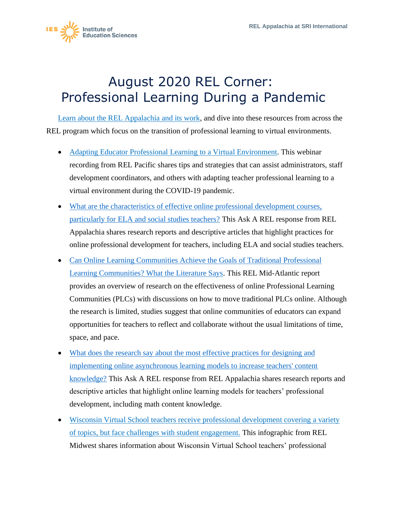

## August 2020 REL Corner: Professional Learning During a Pandemic

[Learn about the REL Appalachia and its work,](https://ies.ed.gov/ncee/edlabs/regions/appalachia/) and dive into these resources from across the REL program which focus on the transition of professional learning to virtual environments.

- [Adapting Educator Professional Learning to a Virtual Environment.](https://ies.ed.gov/ncee/edlabs/regions/pacific/events/event-04-20-20_adapting-educator-professional-learning-to-virtual-format.asp) This webinar recording from REL Pacific shares tips and strategies that can assist administrators, staff development coordinators, and others with adapting teacher professional learning to a virtual environment during the COVID-19 pandemic.
- [What are the characteristics of effective online professional development courses,](https://ies.ed.gov/ncee/edlabs/regions/appalachia/askarel/aar24.asp)  [particularly for ELA and social studies teachers?](https://ies.ed.gov/ncee/edlabs/regions/appalachia/askarel/aar24.asp) This Ask A REL response from REL Appalachia shares research reports and descriptive articles that highlight practices for online professional development for teachers, including ELA and social studies teachers.
- [Can Online Learning Communities Achieve the Goals of Traditional Professional](https://ies.ed.gov/ncee/edlabs/projects/project.asp?projectID=368)  [Learning Communities? What the Literature Says.](https://ies.ed.gov/ncee/edlabs/projects/project.asp?projectID=368) This REL Mid-Atlantic report provides an overview of research on the effectiveness of online Professional Learning Communities (PLCs) with discussions on how to move traditional PLCs online. Although the research is limited, studies suggest that online communities of educators can expand opportunities for teachers to reflect and collaborate without the usual limitations of time, space, and pace.
- What does the research say about the most effective practices for designing and [implementing online asynchronous learning models to increase teachers' content](https://ies.ed.gov/ncee/edlabs/regions/appalachia/askarel/aar40.asp)  [knowledge?](https://ies.ed.gov/ncee/edlabs/regions/appalachia/askarel/aar40.asp) This Ask A REL response from REL Appalachia shares research reports and descriptive articles that highlight online learning models for teachers' professional development, including math content knowledge.
- [Wisconsin Virtual School teachers receive professional development covering a variety](https://ies.ed.gov/ncee/edlabs/infographics/pdf/REL_MW_Wisconsin_Virtual_School_teachers_receive_professional_development_covering_a_variety_of_topics,_but_face_challenges_with_student_engagement.pdf)  [of topics, but face challenges with student engagement.](https://ies.ed.gov/ncee/edlabs/infographics/pdf/REL_MW_Wisconsin_Virtual_School_teachers_receive_professional_development_covering_a_variety_of_topics,_but_face_challenges_with_student_engagement.pdf) This infographic from REL Midwest shares information about Wisconsin Virtual School teachers' professional